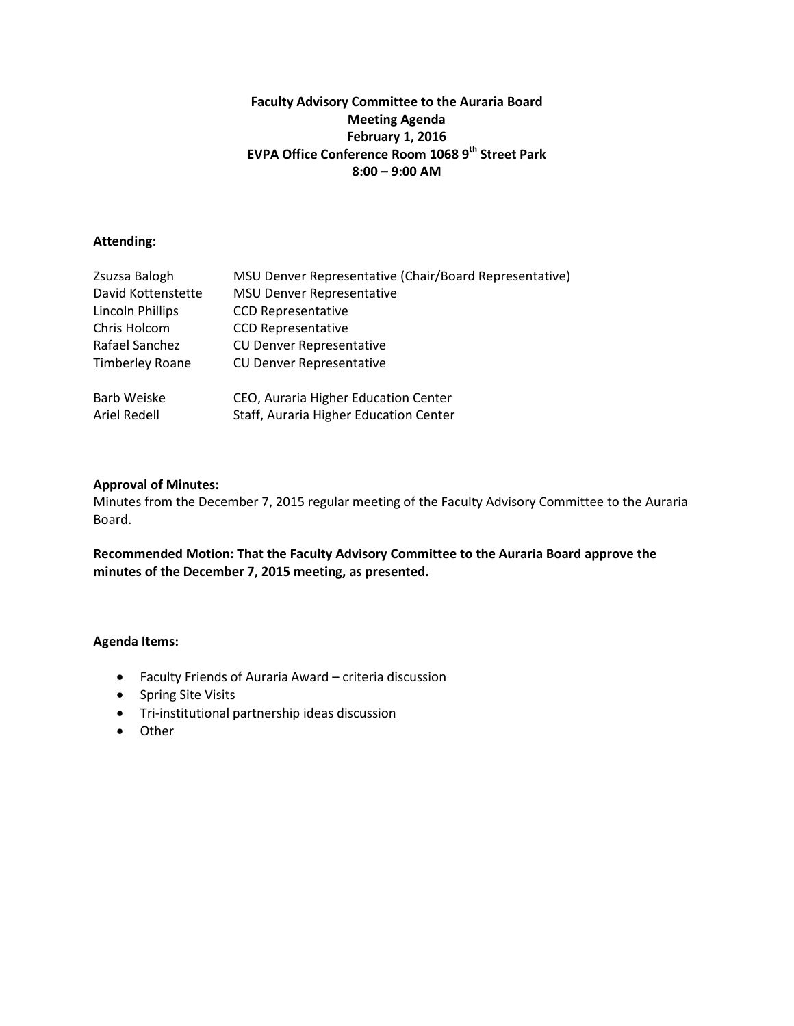## **Faculty Advisory Committee to the Auraria Board Meeting Agenda February 1, 2016 EVPA Office Conference Room 1068 9th Street Park 8:00 – 9:00 AM**

## **Attending:**

| Zsuzsa Balogh           | MSU Denver Representative (Chair/Board Representative) |
|-------------------------|--------------------------------------------------------|
| David Kottenstette      | <b>MSU Denver Representative</b>                       |
| <b>Lincoln Phillips</b> | <b>CCD Representative</b>                              |
| Chris Holcom            | <b>CCD Representative</b>                              |
| Rafael Sanchez          | <b>CU Denver Representative</b>                        |
| <b>Timberley Roane</b>  | <b>CU Denver Representative</b>                        |
| Barb Weiske             | CEO, Auraria Higher Education Center                   |
| Ariel Redell            | Staff, Auraria Higher Education Center                 |

## **Approval of Minutes:**

Minutes from the December 7, 2015 regular meeting of the Faculty Advisory Committee to the Auraria Board.

**Recommended Motion: That the Faculty Advisory Committee to the Auraria Board approve the minutes of the December 7, 2015 meeting, as presented.** 

- Faculty Friends of Auraria Award criteria discussion
- Spring Site Visits
- Tri-institutional partnership ideas discussion
- Other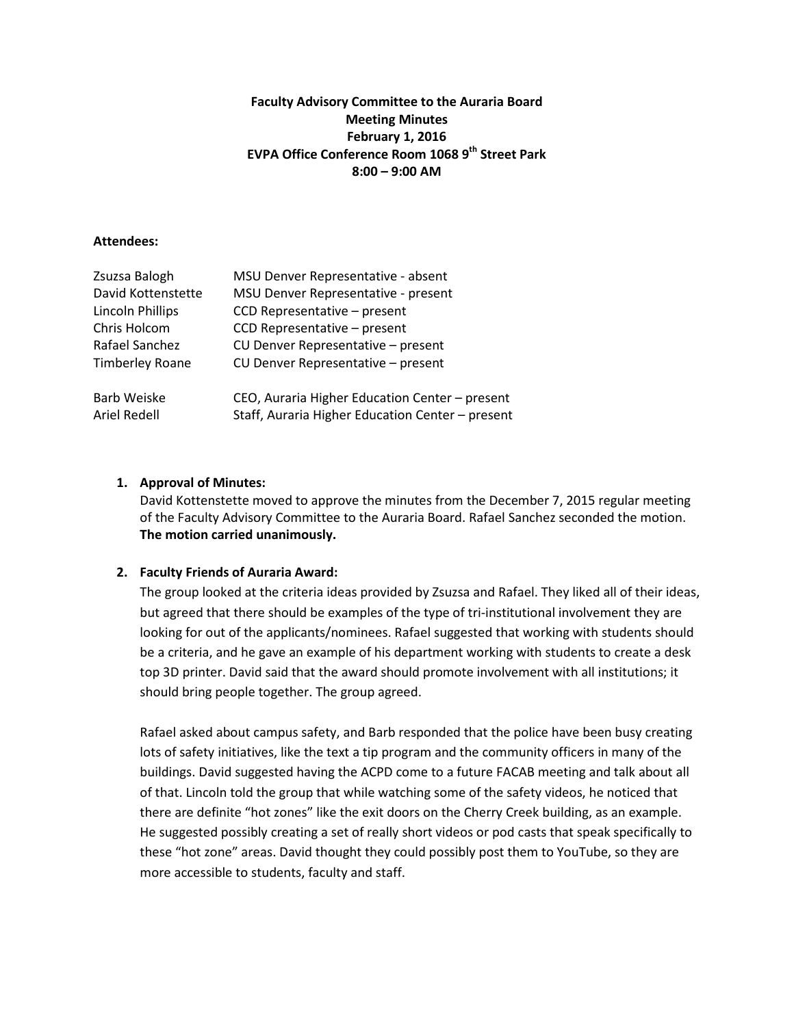## **Faculty Advisory Committee to the Auraria Board Meeting Minutes February 1, 2016 EVPA Office Conference Room 1068 9th Street Park 8:00 – 9:00 AM**

#### **Attendees:**

| Zsuzsa Balogh           | MSU Denver Representative - absent               |
|-------------------------|--------------------------------------------------|
| David Kottenstette      | MSU Denver Representative - present              |
| <b>Lincoln Phillips</b> | CCD Representative - present                     |
| Chris Holcom            | CCD Representative - present                     |
| Rafael Sanchez          | CU Denver Representative - present               |
| <b>Timberley Roane</b>  | CU Denver Representative - present               |
| <b>Barb Weiske</b>      | CEO, Auraria Higher Education Center - present   |
| <b>Ariel Redell</b>     | Staff, Auraria Higher Education Center - present |

## **1. Approval of Minutes:**

David Kottenstette moved to approve the minutes from the December 7, 2015 regular meeting of the Faculty Advisory Committee to the Auraria Board. Rafael Sanchez seconded the motion. **The motion carried unanimously.**

## **2. Faculty Friends of Auraria Award:**

The group looked at the criteria ideas provided by Zsuzsa and Rafael. They liked all of their ideas, but agreed that there should be examples of the type of tri-institutional involvement they are looking for out of the applicants/nominees. Rafael suggested that working with students should be a criteria, and he gave an example of his department working with students to create a desk top 3D printer. David said that the award should promote involvement with all institutions; it should bring people together. The group agreed.

Rafael asked about campus safety, and Barb responded that the police have been busy creating lots of safety initiatives, like the text a tip program and the community officers in many of the buildings. David suggested having the ACPD come to a future FACAB meeting and talk about all of that. Lincoln told the group that while watching some of the safety videos, he noticed that there are definite "hot zones" like the exit doors on the Cherry Creek building, as an example. He suggested possibly creating a set of really short videos or pod casts that speak specifically to these "hot zone" areas. David thought they could possibly post them to YouTube, so they are more accessible to students, faculty and staff.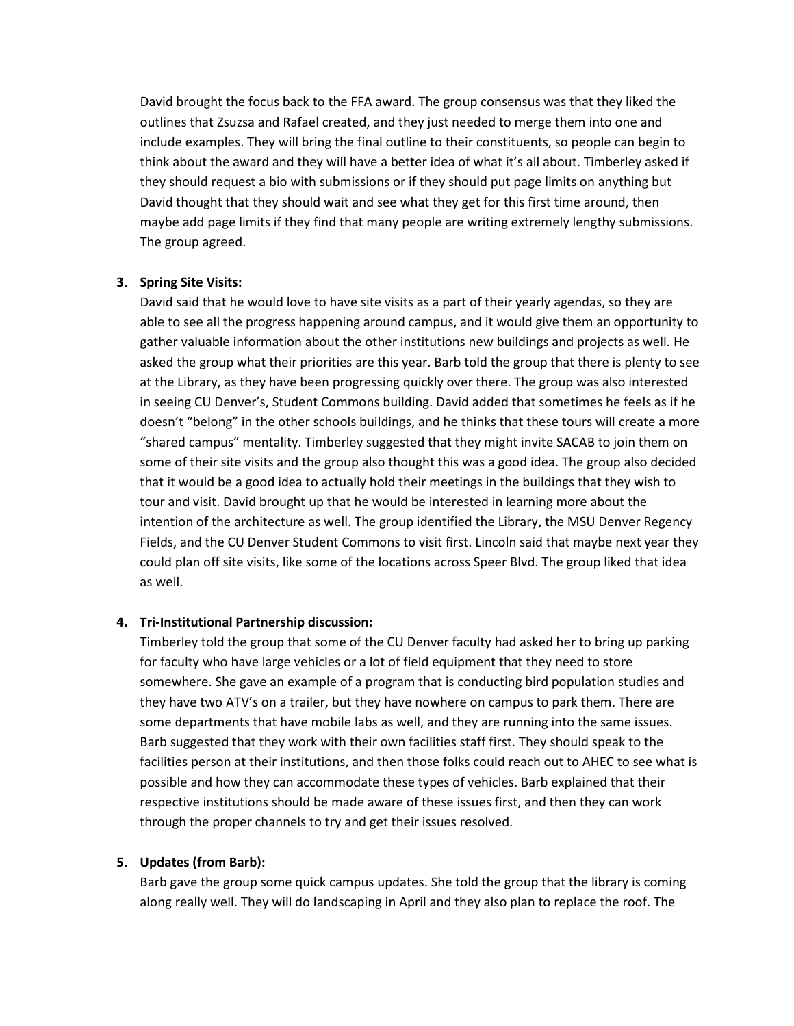David brought the focus back to the FFA award. The group consensus was that they liked the outlines that Zsuzsa and Rafael created, and they just needed to merge them into one and include examples. They will bring the final outline to their constituents, so people can begin to think about the award and they will have a better idea of what it's all about. Timberley asked if they should request a bio with submissions or if they should put page limits on anything but David thought that they should wait and see what they get for this first time around, then maybe add page limits if they find that many people are writing extremely lengthy submissions. The group agreed.

### **3. Spring Site Visits:**

David said that he would love to have site visits as a part of their yearly agendas, so they are able to see all the progress happening around campus, and it would give them an opportunity to gather valuable information about the other institutions new buildings and projects as well. He asked the group what their priorities are this year. Barb told the group that there is plenty to see at the Library, as they have been progressing quickly over there. The group was also interested in seeing CU Denver's, Student Commons building. David added that sometimes he feels as if he doesn't "belong" in the other schools buildings, and he thinks that these tours will create a more "shared campus" mentality. Timberley suggested that they might invite SACAB to join them on some of their site visits and the group also thought this was a good idea. The group also decided that it would be a good idea to actually hold their meetings in the buildings that they wish to tour and visit. David brought up that he would be interested in learning more about the intention of the architecture as well. The group identified the Library, the MSU Denver Regency Fields, and the CU Denver Student Commons to visit first. Lincoln said that maybe next year they could plan off site visits, like some of the locations across Speer Blvd. The group liked that idea as well.

#### **4. Tri-Institutional Partnership discussion:**

Timberley told the group that some of the CU Denver faculty had asked her to bring up parking for faculty who have large vehicles or a lot of field equipment that they need to store somewhere. She gave an example of a program that is conducting bird population studies and they have two ATV's on a trailer, but they have nowhere on campus to park them. There are some departments that have mobile labs as well, and they are running into the same issues. Barb suggested that they work with their own facilities staff first. They should speak to the facilities person at their institutions, and then those folks could reach out to AHEC to see what is possible and how they can accommodate these types of vehicles. Barb explained that their respective institutions should be made aware of these issues first, and then they can work through the proper channels to try and get their issues resolved.

## **5. Updates (from Barb):**

Barb gave the group some quick campus updates. She told the group that the library is coming along really well. They will do landscaping in April and they also plan to replace the roof. The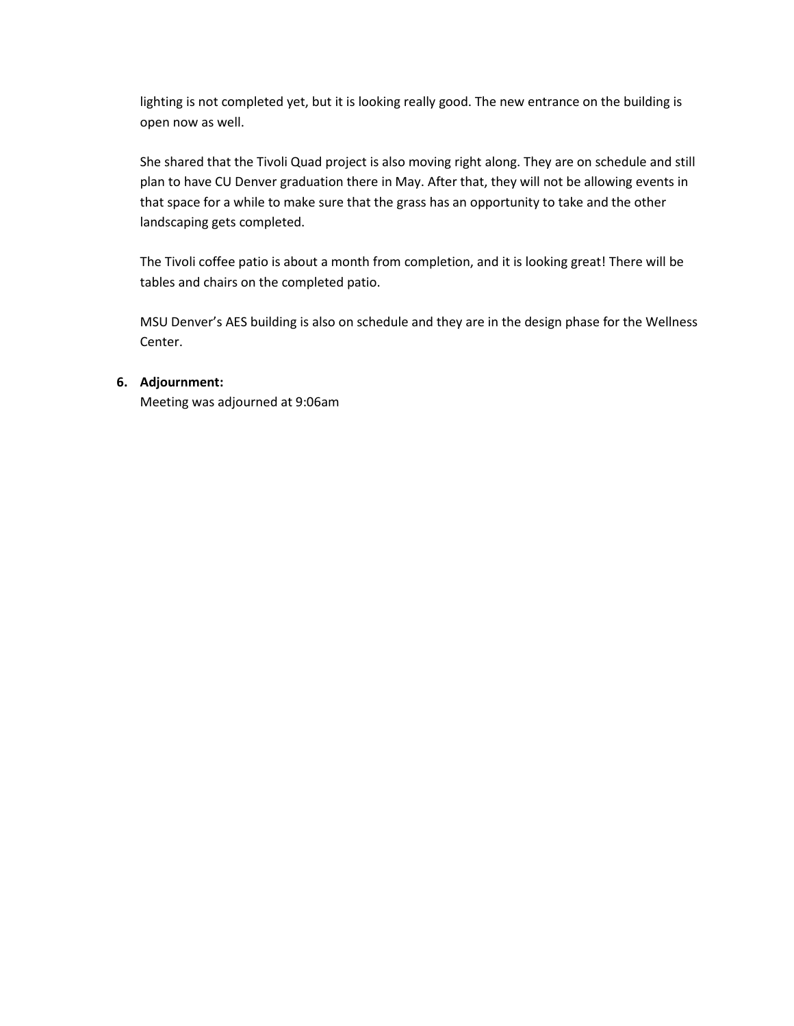lighting is not completed yet, but it is looking really good. The new entrance on the building is open now as well.

She shared that the Tivoli Quad project is also moving right along. They are on schedule and still plan to have CU Denver graduation there in May. After that, they will not be allowing events in that space for a while to make sure that the grass has an opportunity to take and the other landscaping gets completed.

The Tivoli coffee patio is about a month from completion, and it is looking great! There will be tables and chairs on the completed patio.

MSU Denver's AES building is also on schedule and they are in the design phase for the Wellness Center.

# **6. Adjournment:**

Meeting was adjourned at 9:06am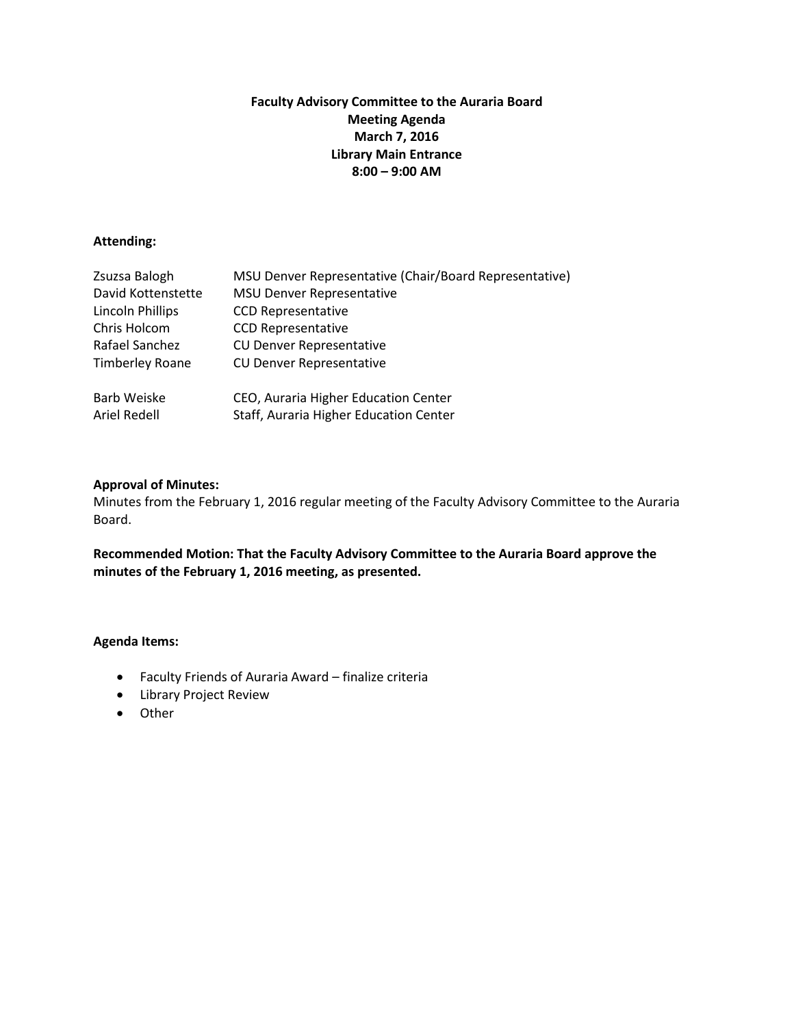## **Faculty Advisory Committee to the Auraria Board Meeting Agenda March 7, 2016 Library Main Entrance 8:00 – 9:00 AM**

## **Attending:**

| Zsuzsa Balogh           | MSU Denver Representative (Chair/Board Representative) |
|-------------------------|--------------------------------------------------------|
| David Kottenstette      | <b>MSU Denver Representative</b>                       |
| <b>Lincoln Phillips</b> | <b>CCD Representative</b>                              |
| Chris Holcom            | <b>CCD Representative</b>                              |
| Rafael Sanchez          | <b>CU Denver Representative</b>                        |
| <b>Timberley Roane</b>  | <b>CU Denver Representative</b>                        |
| Barb Weiske             | CEO, Auraria Higher Education Center                   |
| Ariel Redell            | Staff, Auraria Higher Education Center                 |

### **Approval of Minutes:**

Minutes from the February 1, 2016 regular meeting of the Faculty Advisory Committee to the Auraria Board.

**Recommended Motion: That the Faculty Advisory Committee to the Auraria Board approve the minutes of the February 1, 2016 meeting, as presented.** 

- Faculty Friends of Auraria Award finalize criteria
- Library Project Review
- Other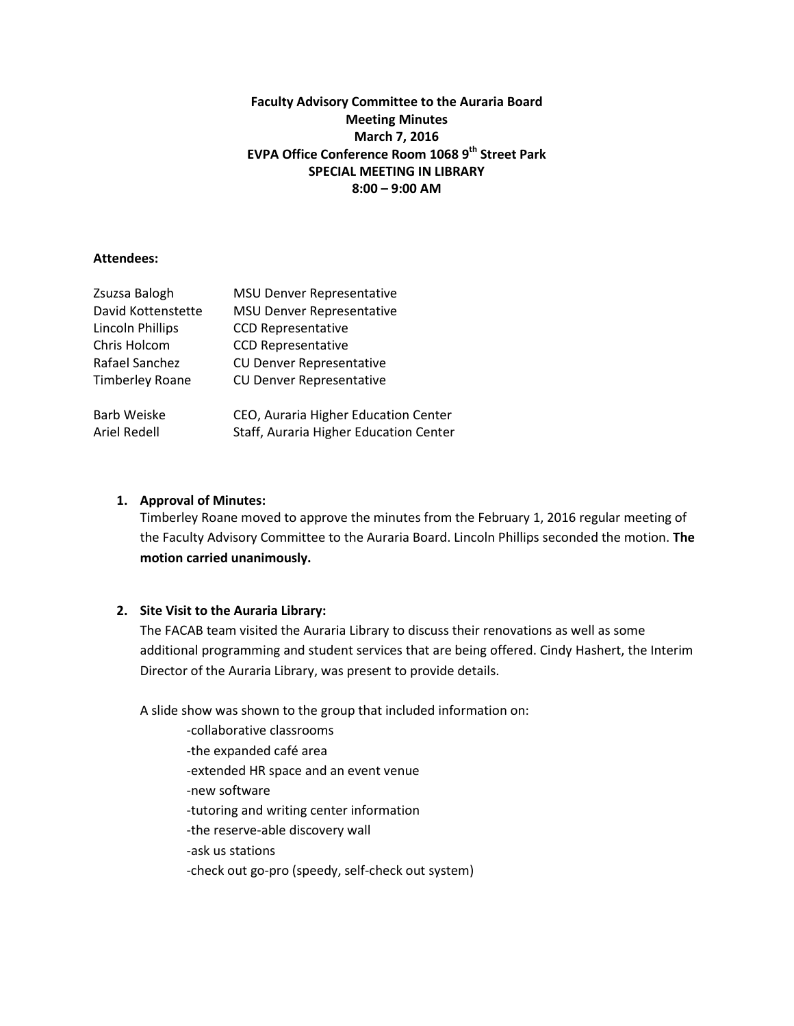## **Faculty Advisory Committee to the Auraria Board Meeting Minutes March 7, 2016 EVPA Office Conference Room 1068 9th Street Park SPECIAL MEETING IN LIBRARY 8:00 – 9:00 AM**

### **Attendees:**

| <b>MSU Denver Representative</b>       |
|----------------------------------------|
| <b>MSU Denver Representative</b>       |
| <b>CCD Representative</b>              |
| <b>CCD Representative</b>              |
| <b>CU Denver Representative</b>        |
| <b>CU Denver Representative</b>        |
| CEO, Auraria Higher Education Center   |
| Staff, Auraria Higher Education Center |
|                                        |

### **1. Approval of Minutes:**

Timberley Roane moved to approve the minutes from the February 1, 2016 regular meeting of the Faculty Advisory Committee to the Auraria Board. Lincoln Phillips seconded the motion. **The motion carried unanimously.**

## **2. Site Visit to the Auraria Library:**

The FACAB team visited the Auraria Library to discuss their renovations as well as some additional programming and student services that are being offered. Cindy Hashert, the Interim Director of the Auraria Library, was present to provide details.

A slide show was shown to the group that included information on:

- -collaborative classrooms
- -the expanded café area
- -extended HR space and an event venue
- -new software
- -tutoring and writing center information
- -the reserve-able discovery wall
- -ask us stations
- -check out go-pro (speedy, self-check out system)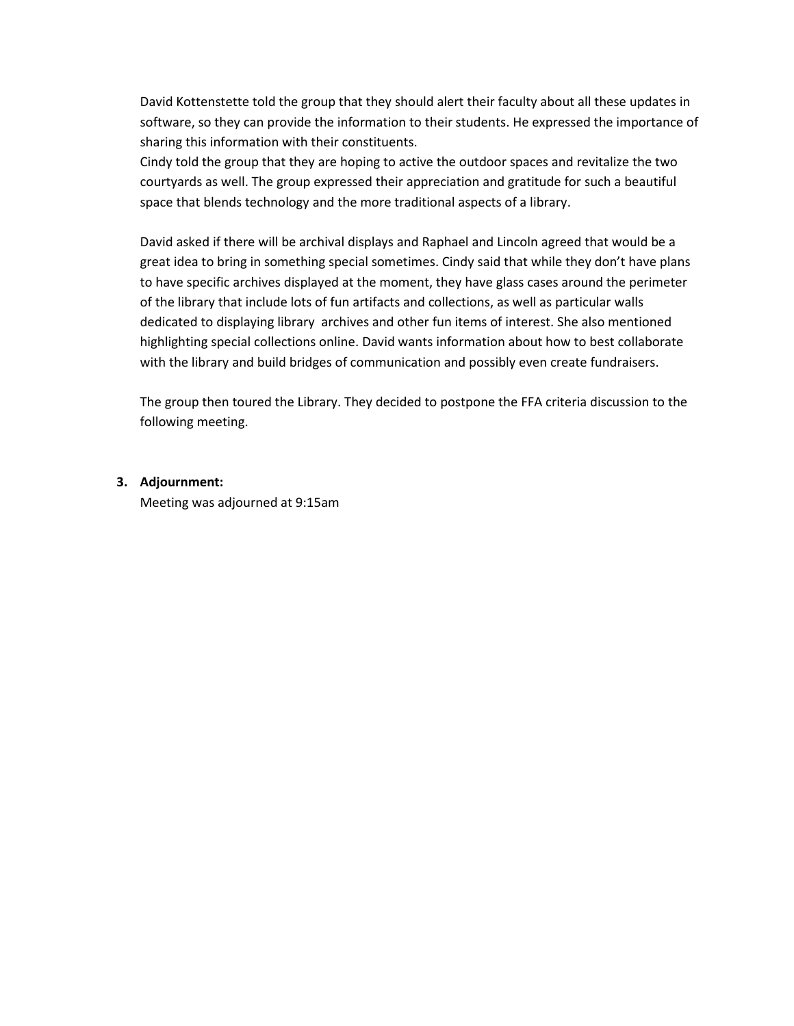David Kottenstette told the group that they should alert their faculty about all these updates in software, so they can provide the information to their students. He expressed the importance of sharing this information with their constituents.

Cindy told the group that they are hoping to active the outdoor spaces and revitalize the two courtyards as well. The group expressed their appreciation and gratitude for such a beautiful space that blends technology and the more traditional aspects of a library.

David asked if there will be archival displays and Raphael and Lincoln agreed that would be a great idea to bring in something special sometimes. Cindy said that while they don't have plans to have specific archives displayed at the moment, they have glass cases around the perimeter of the library that include lots of fun artifacts and collections, as well as particular walls dedicated to displaying library archives and other fun items of interest. She also mentioned highlighting special collections online. David wants information about how to best collaborate with the library and build bridges of communication and possibly even create fundraisers.

The group then toured the Library. They decided to postpone the FFA criteria discussion to the following meeting.

## **3. Adjournment:**

Meeting was adjourned at 9:15am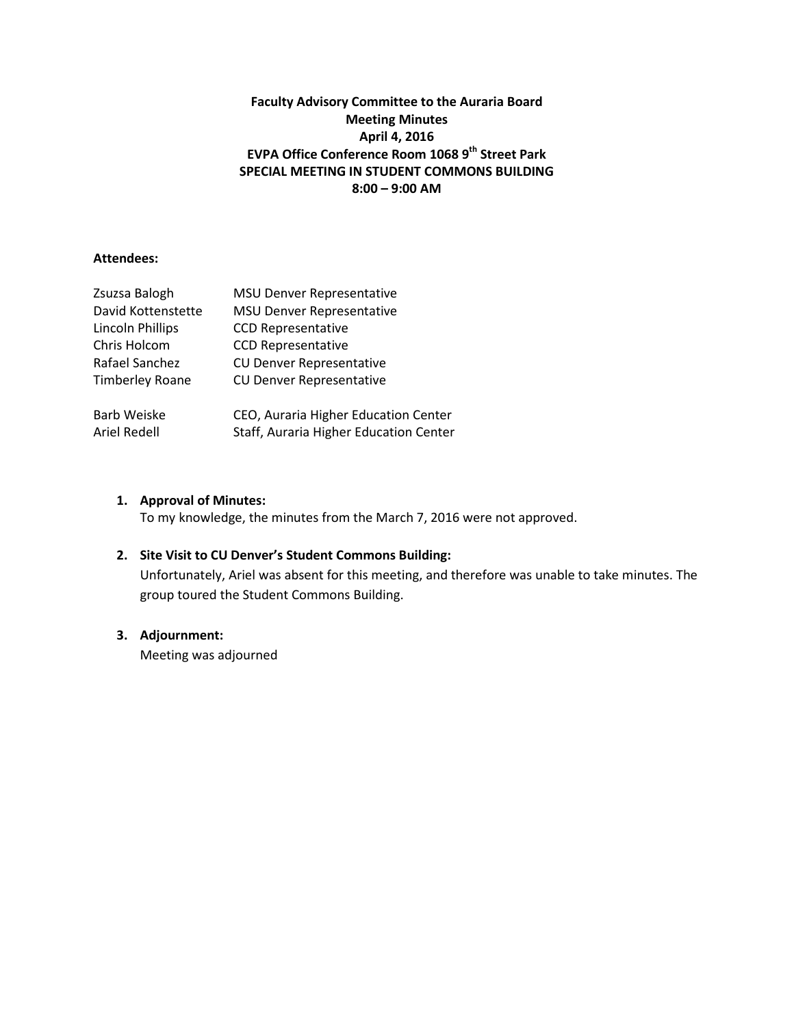# **Faculty Advisory Committee to the Auraria Board Meeting Minutes April 4, 2016 EVPA Office Conference Room 1068 9th Street Park SPECIAL MEETING IN STUDENT COMMONS BUILDING 8:00 – 9:00 AM**

### **Attendees:**

| Zsuzsa Balogh           | <b>MSU Denver Representative</b>       |
|-------------------------|----------------------------------------|
| David Kottenstette      | <b>MSU Denver Representative</b>       |
| <b>Lincoln Phillips</b> | <b>CCD Representative</b>              |
| Chris Holcom            | <b>CCD Representative</b>              |
| Rafael Sanchez          | <b>CU Denver Representative</b>        |
| <b>Timberley Roane</b>  | <b>CU Denver Representative</b>        |
| <b>Barb Weiske</b>      | CEO, Auraria Higher Education Center   |
| Ariel Redell            | Staff, Auraria Higher Education Center |

## **1. Approval of Minutes:**

To my knowledge, the minutes from the March 7, 2016 were not approved.

## **2. Site Visit to CU Denver's Student Commons Building:**

Unfortunately, Ariel was absent for this meeting, and therefore was unable to take minutes. The group toured the Student Commons Building.

## **3. Adjournment:**

Meeting was adjourned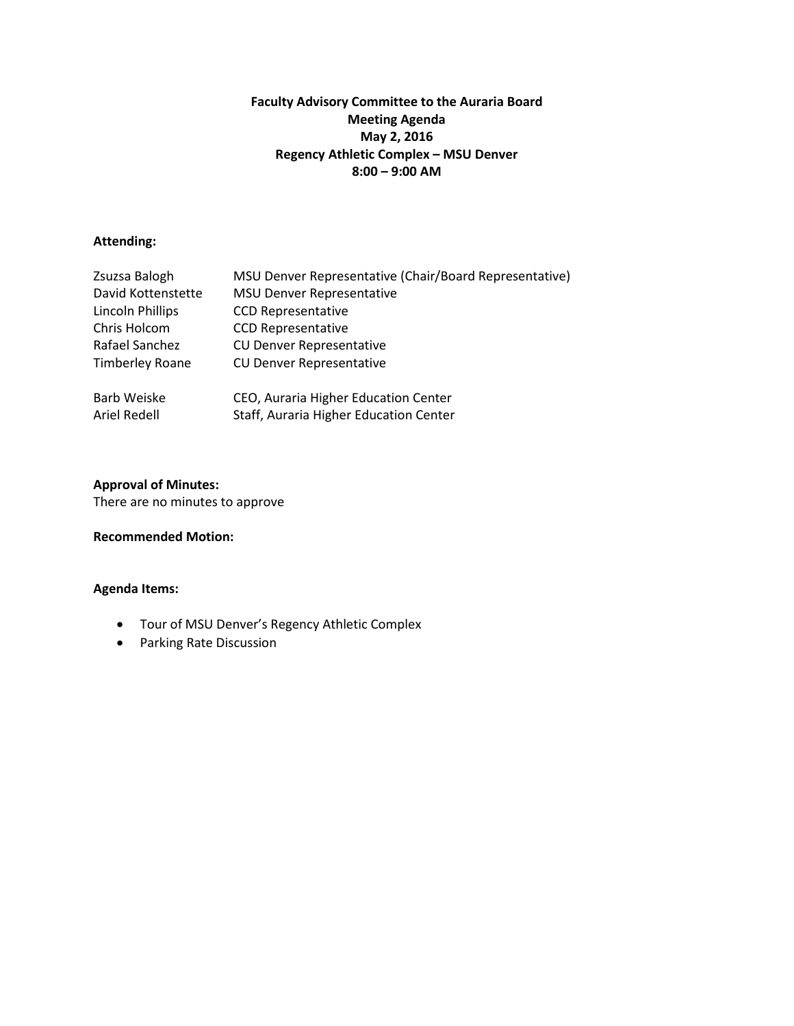# **Faculty Advisory Committee to the Auraria Board Meeting Agenda May 2, 2016 Regency Athletic Complex – MSU Denver 8:00 – 9:00 AM**

### **Attending:**

| Zsuzsa Balogh           | MSU Denver Representative (Chair/Board Representative) |
|-------------------------|--------------------------------------------------------|
| David Kottenstette      | <b>MSU Denver Representative</b>                       |
| <b>Lincoln Phillips</b> | <b>CCD Representative</b>                              |
| Chris Holcom            | <b>CCD Representative</b>                              |
| Rafael Sanchez          | <b>CU Denver Representative</b>                        |
| <b>Timberley Roane</b>  | <b>CU Denver Representative</b>                        |
| Barb Weiske             | CEO, Auraria Higher Education Center                   |
| Ariel Redell            | Staff, Auraria Higher Education Center                 |

### **Approval of Minutes:**

There are no minutes to approve

## **Recommended Motion:**

- Tour of MSU Denver's Regency Athletic Complex
- Parking Rate Discussion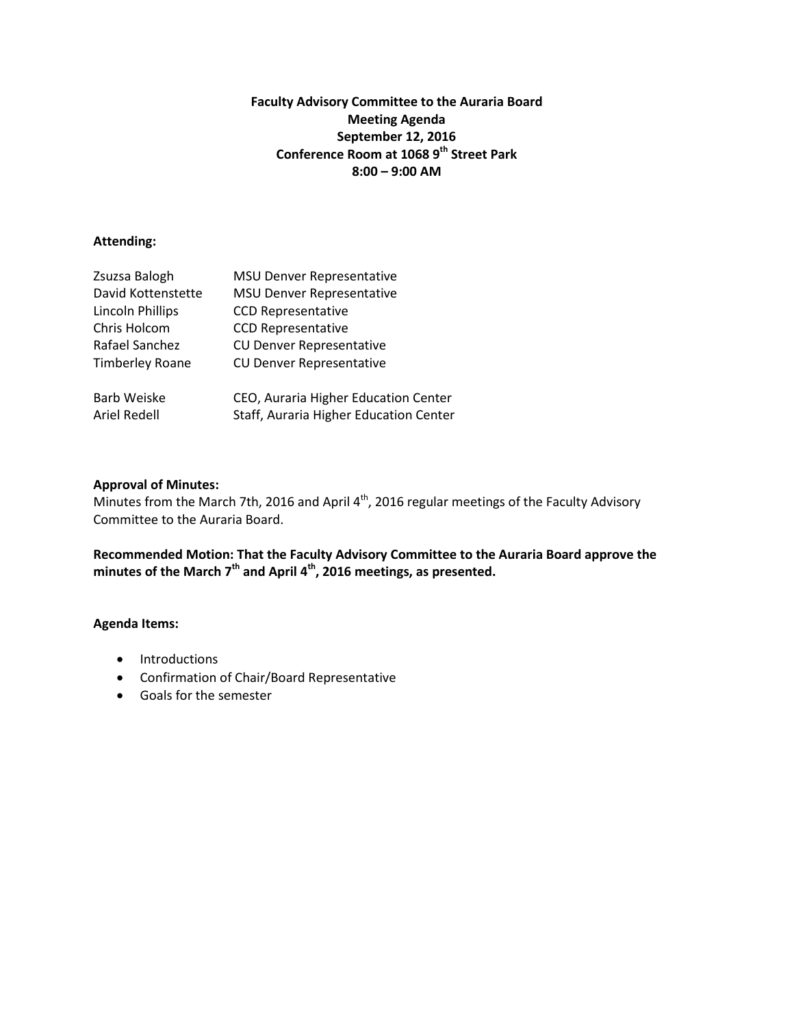## **Faculty Advisory Committee to the Auraria Board Meeting Agenda September 12, 2016 Conference Room at 1068 9th Street Park 8:00 – 9:00 AM**

### **Attending:**

| Zsuzsa Balogh           | <b>MSU Denver Representative</b>       |
|-------------------------|----------------------------------------|
| David Kottenstette      | <b>MSU Denver Representative</b>       |
| <b>Lincoln Phillips</b> | <b>CCD Representative</b>              |
| Chris Holcom            | <b>CCD Representative</b>              |
| Rafael Sanchez          | <b>CU Denver Representative</b>        |
| <b>Timberley Roane</b>  | <b>CU Denver Representative</b>        |
| <b>Barb Weiske</b>      | CEO, Auraria Higher Education Center   |
| Ariel Redell            | Staff, Auraria Higher Education Center |

### **Approval of Minutes:**

Minutes from the March 7th, 2016 and April 4<sup>th</sup>, 2016 regular meetings of the Faculty Advisory Committee to the Auraria Board.

**Recommended Motion: That the Faculty Advisory Committee to the Auraria Board approve the minutes of the March 7th and April 4th, 2016 meetings, as presented.**

- Introductions
- Confirmation of Chair/Board Representative
- Goals for the semester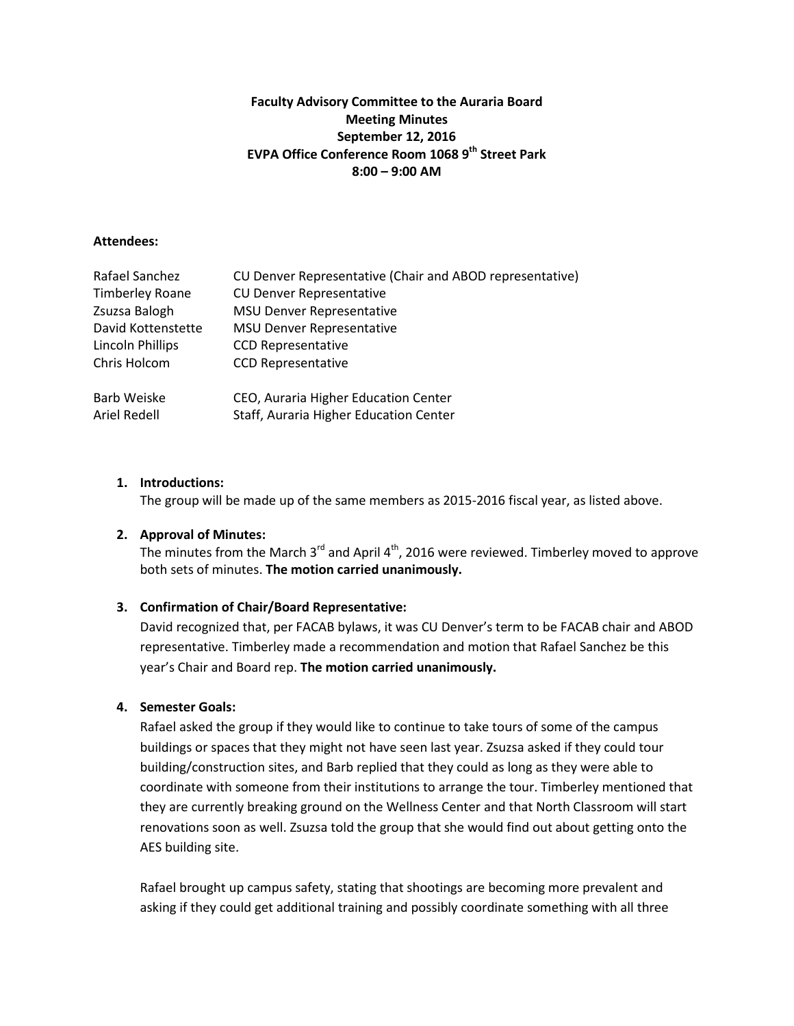## **Faculty Advisory Committee to the Auraria Board Meeting Minutes September 12, 2016 EVPA Office Conference Room 1068 9th Street Park 8:00 – 9:00 AM**

#### **Attendees:**

| Rafael Sanchez          | CU Denver Representative (Chair and ABOD representative) |
|-------------------------|----------------------------------------------------------|
| <b>Timberley Roane</b>  | <b>CU Denver Representative</b>                          |
| Zsuzsa Balogh           | <b>MSU Denver Representative</b>                         |
| David Kottenstette      | <b>MSU Denver Representative</b>                         |
| <b>Lincoln Phillips</b> | <b>CCD Representative</b>                                |
| Chris Holcom            | <b>CCD Representative</b>                                |
| Barb Weiske             | CEO, Auraria Higher Education Center                     |
| Ariel Redell            | Staff, Auraria Higher Education Center                   |

## **1. Introductions:**

The group will be made up of the same members as 2015-2016 fiscal year, as listed above.

### **2. Approval of Minutes:**

The minutes from the March  $3^{rd}$  and April  $4^{th}$ , 2016 were reviewed. Timberley moved to approve both sets of minutes. **The motion carried unanimously.**

## **3. Confirmation of Chair/Board Representative:**

David recognized that, per FACAB bylaws, it was CU Denver's term to be FACAB chair and ABOD representative. Timberley made a recommendation and motion that Rafael Sanchez be this year's Chair and Board rep. **The motion carried unanimously.**

#### **4. Semester Goals:**

Rafael asked the group if they would like to continue to take tours of some of the campus buildings or spaces that they might not have seen last year. Zsuzsa asked if they could tour building/construction sites, and Barb replied that they could as long as they were able to coordinate with someone from their institutions to arrange the tour. Timberley mentioned that they are currently breaking ground on the Wellness Center and that North Classroom will start renovations soon as well. Zsuzsa told the group that she would find out about getting onto the AES building site.

Rafael brought up campus safety, stating that shootings are becoming more prevalent and asking if they could get additional training and possibly coordinate something with all three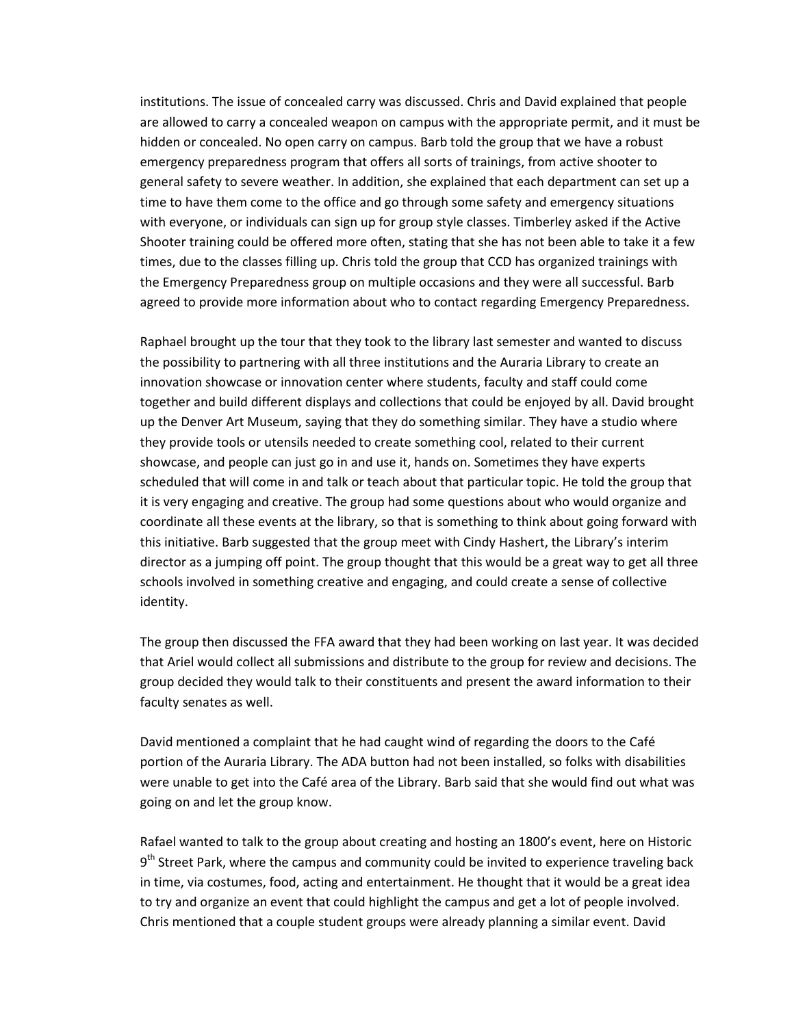institutions. The issue of concealed carry was discussed. Chris and David explained that people are allowed to carry a concealed weapon on campus with the appropriate permit, and it must be hidden or concealed. No open carry on campus. Barb told the group that we have a robust emergency preparedness program that offers all sorts of trainings, from active shooter to general safety to severe weather. In addition, she explained that each department can set up a time to have them come to the office and go through some safety and emergency situations with everyone, or individuals can sign up for group style classes. Timberley asked if the Active Shooter training could be offered more often, stating that she has not been able to take it a few times, due to the classes filling up. Chris told the group that CCD has organized trainings with the Emergency Preparedness group on multiple occasions and they were all successful. Barb agreed to provide more information about who to contact regarding Emergency Preparedness.

Raphael brought up the tour that they took to the library last semester and wanted to discuss the possibility to partnering with all three institutions and the Auraria Library to create an innovation showcase or innovation center where students, faculty and staff could come together and build different displays and collections that could be enjoyed by all. David brought up the Denver Art Museum, saying that they do something similar. They have a studio where they provide tools or utensils needed to create something cool, related to their current showcase, and people can just go in and use it, hands on. Sometimes they have experts scheduled that will come in and talk or teach about that particular topic. He told the group that it is very engaging and creative. The group had some questions about who would organize and coordinate all these events at the library, so that is something to think about going forward with this initiative. Barb suggested that the group meet with Cindy Hashert, the Library's interim director as a jumping off point. The group thought that this would be a great way to get all three schools involved in something creative and engaging, and could create a sense of collective identity.

The group then discussed the FFA award that they had been working on last year. It was decided that Ariel would collect all submissions and distribute to the group for review and decisions. The group decided they would talk to their constituents and present the award information to their faculty senates as well.

David mentioned a complaint that he had caught wind of regarding the doors to the Café portion of the Auraria Library. The ADA button had not been installed, so folks with disabilities were unable to get into the Café area of the Library. Barb said that she would find out what was going on and let the group know.

Rafael wanted to talk to the group about creating and hosting an 1800's event, here on Historic  $9<sup>th</sup>$  Street Park, where the campus and community could be invited to experience traveling back in time, via costumes, food, acting and entertainment. He thought that it would be a great idea to try and organize an event that could highlight the campus and get a lot of people involved. Chris mentioned that a couple student groups were already planning a similar event. David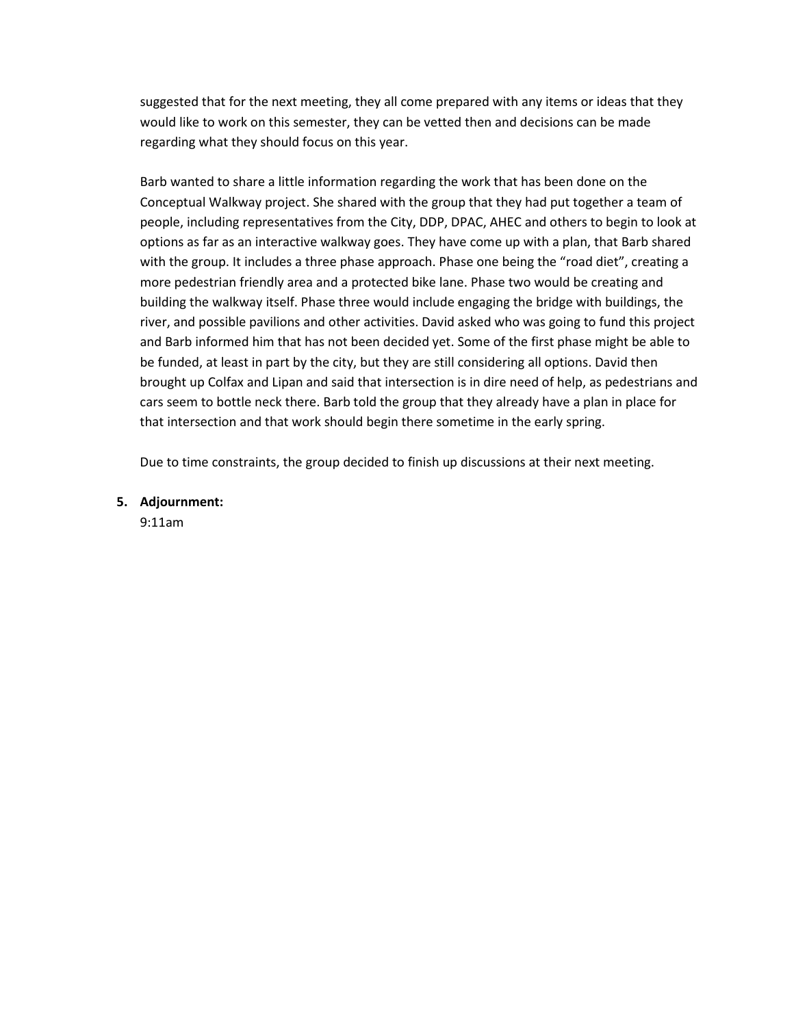suggested that for the next meeting, they all come prepared with any items or ideas that they would like to work on this semester, they can be vetted then and decisions can be made regarding what they should focus on this year.

Barb wanted to share a little information regarding the work that has been done on the Conceptual Walkway project. She shared with the group that they had put together a team of people, including representatives from the City, DDP, DPAC, AHEC and others to begin to look at options as far as an interactive walkway goes. They have come up with a plan, that Barb shared with the group. It includes a three phase approach. Phase one being the "road diet", creating a more pedestrian friendly area and a protected bike lane. Phase two would be creating and building the walkway itself. Phase three would include engaging the bridge with buildings, the river, and possible pavilions and other activities. David asked who was going to fund this project and Barb informed him that has not been decided yet. Some of the first phase might be able to be funded, at least in part by the city, but they are still considering all options. David then brought up Colfax and Lipan and said that intersection is in dire need of help, as pedestrians and cars seem to bottle neck there. Barb told the group that they already have a plan in place for that intersection and that work should begin there sometime in the early spring.

Due to time constraints, the group decided to finish up discussions at their next meeting.

**5. Adjournment:**

9:11am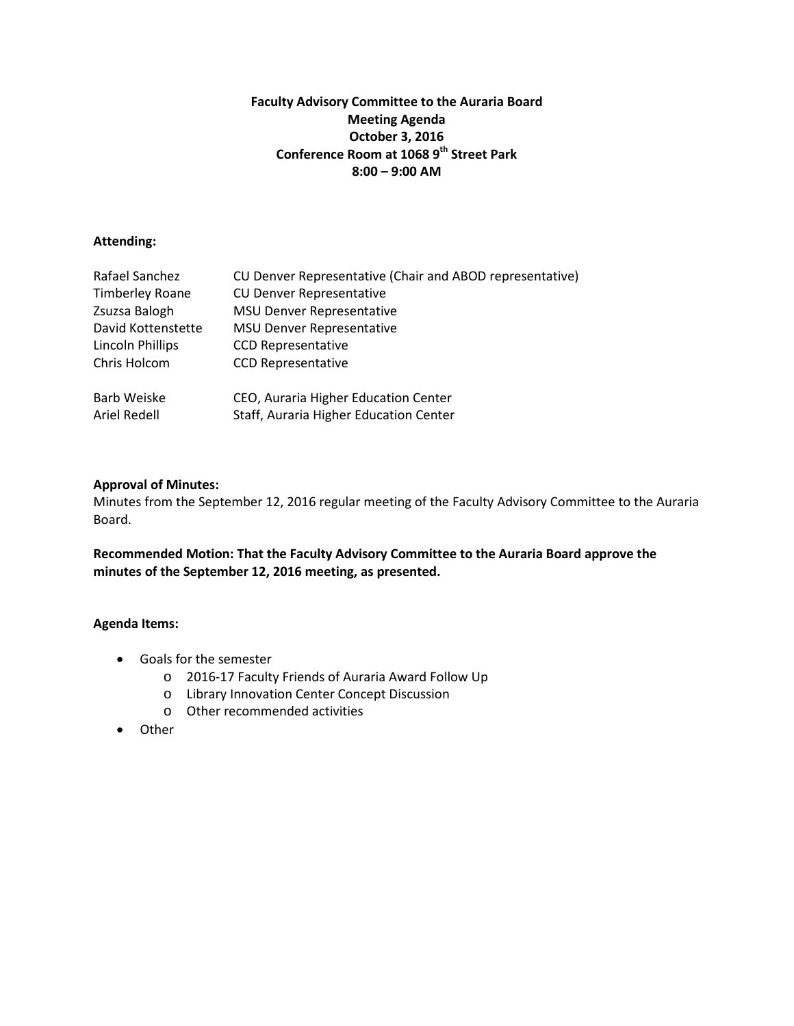## **Faculty Advisory Committee to the Auraria Board Meeting Agenda October 3, 2016 Conference Room at 1068 9th Street Park 8:00 – 9:00 AM**

## **Attending:**

| Rafael Sanchez         | CU Denver Representative (Chair and ABOD representative) |
|------------------------|----------------------------------------------------------|
| <b>Timberley Roane</b> | <b>CU Denver Representative</b>                          |
| Zsuzsa Balogh          | <b>MSU Denver Representative</b>                         |
| David Kottenstette     | <b>MSU Denver Representative</b>                         |
| Lincoln Phillips       | <b>CCD Representative</b>                                |
| Chris Holcom           | <b>CCD Representative</b>                                |
| Barb Weiske            | CEO, Auraria Higher Education Center                     |
| Ariel Redell           | Staff, Auraria Higher Education Center                   |

### **Approval of Minutes:**

Minutes from the September 12, 2016 regular meeting of the Faculty Advisory Committee to the Auraria Board.

**Recommended Motion: That the Faculty Advisory Committee to the Auraria Board approve the minutes of the September 12, 2016 meeting, as presented.**

- Goals for the semester
	- o 2016-17 Faculty Friends of Auraria Award Follow Up
	- o Library Innovation Center Concept Discussion
	- o Other recommended activities
- Other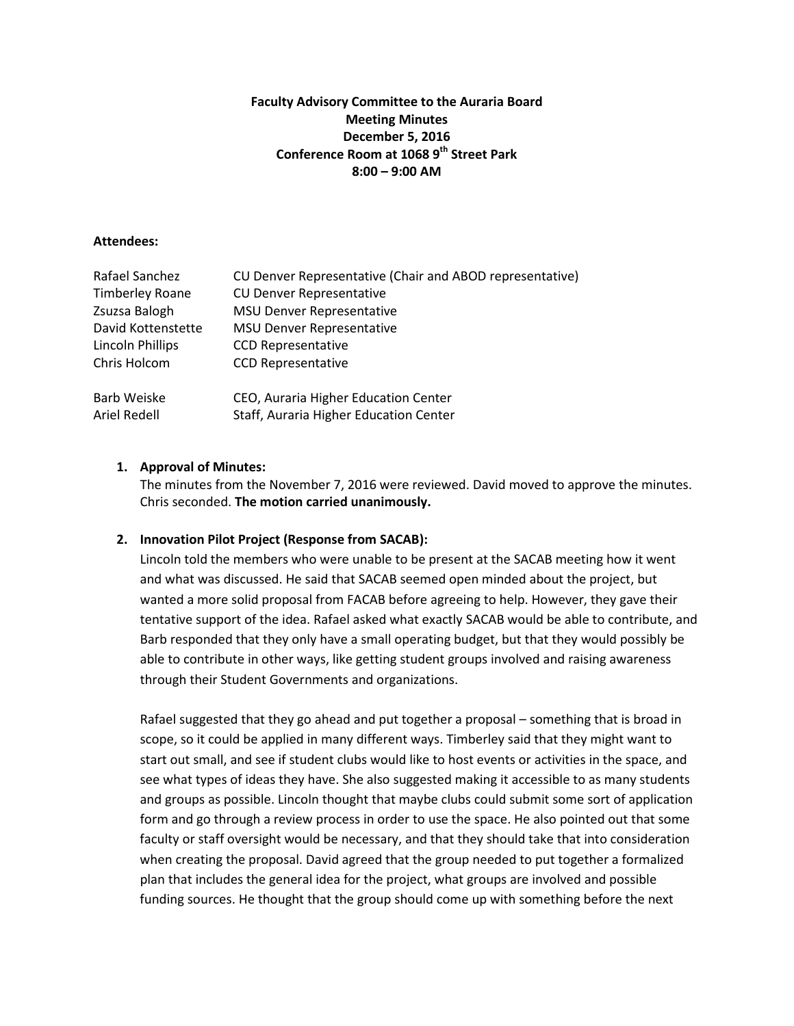## **Faculty Advisory Committee to the Auraria Board Meeting Minutes December 5, 2016 Conference Room at 1068 9th Street Park 8:00 – 9:00 AM**

### **Attendees:**

| Rafael Sanchez          | CU Denver Representative (Chair and ABOD representative) |
|-------------------------|----------------------------------------------------------|
| <b>Timberley Roane</b>  | <b>CU Denver Representative</b>                          |
| Zsuzsa Balogh           | <b>MSU Denver Representative</b>                         |
| David Kottenstette      | <b>MSU Denver Representative</b>                         |
| <b>Lincoln Phillips</b> | <b>CCD Representative</b>                                |
| Chris Holcom            | <b>CCD Representative</b>                                |
| <b>Barb Weiske</b>      | CEO, Auraria Higher Education Center                     |
| Ariel Redell            | Staff, Auraria Higher Education Center                   |

### **1. Approval of Minutes:**

The minutes from the November 7, 2016 were reviewed. David moved to approve the minutes. Chris seconded. **The motion carried unanimously.**

#### **2. Innovation Pilot Project (Response from SACAB):**

Lincoln told the members who were unable to be present at the SACAB meeting how it went and what was discussed. He said that SACAB seemed open minded about the project, but wanted a more solid proposal from FACAB before agreeing to help. However, they gave their tentative support of the idea. Rafael asked what exactly SACAB would be able to contribute, and Barb responded that they only have a small operating budget, but that they would possibly be able to contribute in other ways, like getting student groups involved and raising awareness through their Student Governments and organizations.

Rafael suggested that they go ahead and put together a proposal – something that is broad in scope, so it could be applied in many different ways. Timberley said that they might want to start out small, and see if student clubs would like to host events or activities in the space, and see what types of ideas they have. She also suggested making it accessible to as many students and groups as possible. Lincoln thought that maybe clubs could submit some sort of application form and go through a review process in order to use the space. He also pointed out that some faculty or staff oversight would be necessary, and that they should take that into consideration when creating the proposal. David agreed that the group needed to put together a formalized plan that includes the general idea for the project, what groups are involved and possible funding sources. He thought that the group should come up with something before the next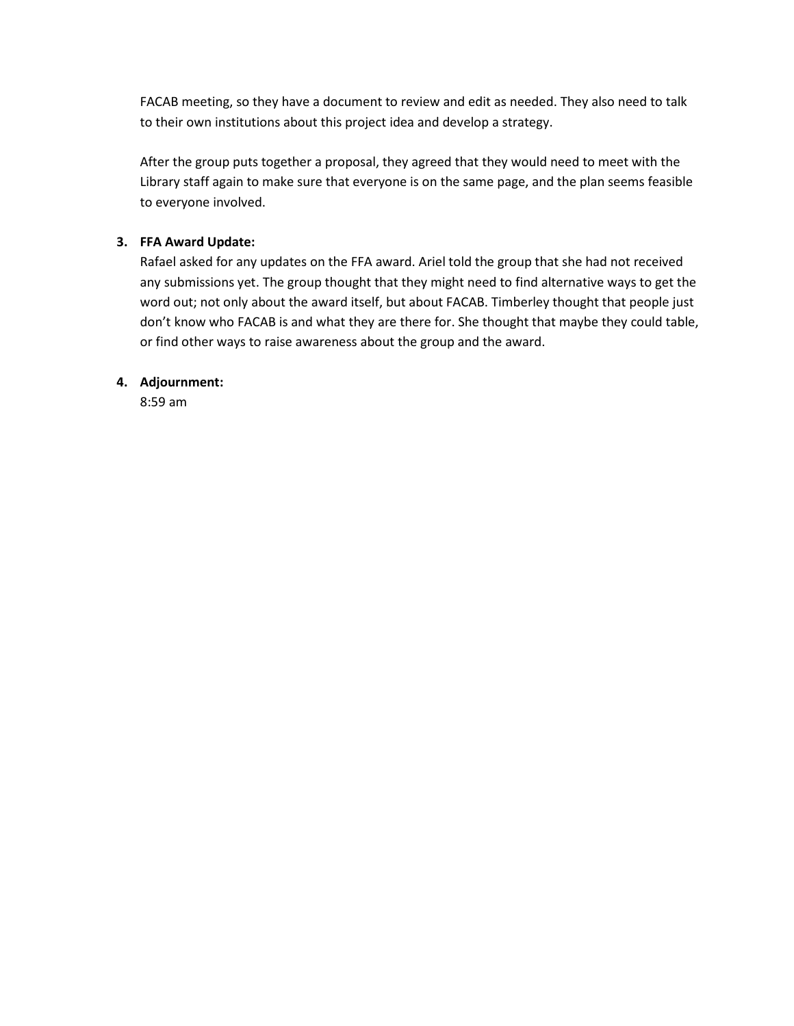FACAB meeting, so they have a document to review and edit as needed. They also need to talk to their own institutions about this project idea and develop a strategy.

After the group puts together a proposal, they agreed that they would need to meet with the Library staff again to make sure that everyone is on the same page, and the plan seems feasible to everyone involved.

# **3. FFA Award Update:**

Rafael asked for any updates on the FFA award. Ariel told the group that she had not received any submissions yet. The group thought that they might need to find alternative ways to get the word out; not only about the award itself, but about FACAB. Timberley thought that people just don't know who FACAB is and what they are there for. She thought that maybe they could table, or find other ways to raise awareness about the group and the award.

# **4. Adjournment:**

8:59 am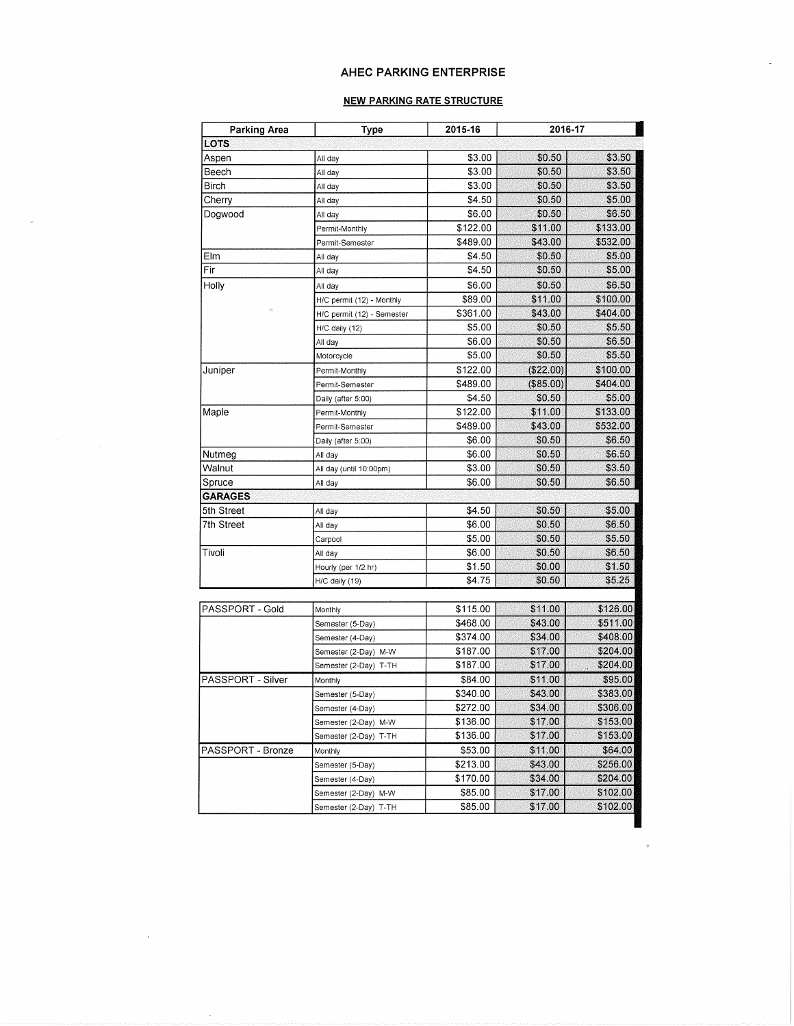#### AHEC PARKING ENTERPRISE

#### **NEW PARKING RATE STRUCTURE**

| <b>Parking Area</b> | Type                       | 2015-16  |             | 2016-17  |  |
|---------------------|----------------------------|----------|-------------|----------|--|
| <b>LOTS</b>         |                            |          |             |          |  |
| Aspen               | All day                    | \$3.00   | \$0.50      | \$3.50   |  |
| Beech               | All day                    | \$3.00   | \$0.50      | \$3.50   |  |
| Birch               | All day                    | \$3.00   | \$0.50      | \$3.50   |  |
| Cherry              | All day                    | \$4.50   | \$0.50      | \$5.00   |  |
| Dogwood             | All day                    | \$6.00   | \$0.50      | \$6.50   |  |
|                     | Permit-Monthly             | \$122.00 | \$11.00     | \$133.00 |  |
|                     | Permit-Semester            | \$489.00 | \$43.00     | \$532.00 |  |
| Elm                 | All day                    | \$4.50   | \$0.50      | \$5.00   |  |
| Fir                 | All day                    | \$4.50   | \$0.50      | \$5.00   |  |
| Holly               | All day                    | \$6.00   | \$0.50      | \$6.50   |  |
|                     | H/C permit (12) - Monthly  | \$89.00  | \$11.00     | \$100.00 |  |
|                     | H/C permit (12) - Semester | \$361.00 | \$43.00     | \$404.00 |  |
|                     | H/C daily (12)             | \$5.00   | \$0.50      | \$5.50   |  |
|                     | All day                    | \$6.00   | \$0.50      | \$6.50   |  |
|                     | Motorcycle                 | \$5.00   | \$0.50      | \$5.50   |  |
| Juniper             | Permit-Monthly             | \$122.00 | (\$22.00)   | \$100.00 |  |
|                     | Permit-Semester            | \$489.00 | $(\$85.00)$ | \$404.00 |  |
|                     | Daily (after 5:00)         | \$4.50   | \$0.50      | \$5.00   |  |
| Maple               | Permit-Monthly             | \$122.00 | \$11.00     | \$133.00 |  |
|                     | Permit-Semester            | \$489.00 | \$43.00     | \$532.00 |  |
|                     | Daily (after 5:00)         | \$6.00   | \$0.50      | \$6.50   |  |
| Nutmeg              | All day                    | \$6.00   | \$0.50      | \$6.50   |  |
| Walnut              | All day (until 10:00pm)    | \$3.00   | \$0.50      | \$3.50   |  |
| Spruce              | All day                    | \$6.00   | \$0.50      | \$6.50   |  |
| <b>GARAGES</b>      |                            |          |             |          |  |
| 5th Street          | All day                    | \$4.50   | \$0.50      | \$5.00   |  |
| 7th Street          | All day                    | \$6.00   | \$0.50      | \$6.50   |  |
|                     | Carpool                    | \$5.00   | \$0.50      | \$5.50   |  |
| Tivoli              | All day                    | \$6.00   | \$0.50      | \$6.50   |  |
|                     | Hourly (per 1/2 hr)        | \$1.50   | \$0.00      | \$1.50   |  |
|                     | H/C daily (19)             | \$4.75   | \$0.50      | \$5.25   |  |
|                     |                            |          |             |          |  |
| PASSPORT - Gold     | Monthly                    | \$115.00 | \$11.00     | \$126.00 |  |
|                     | Semester (5-Day)           | \$468.00 | \$43.00     | \$511.00 |  |
|                     | Semester (4-Day)           | \$374.00 | \$34.00     | \$408.00 |  |
|                     | Semester (2-Day) M-W       | \$187.00 | \$17.00     | \$204.00 |  |
|                     | Semester (2-Day) T-TH      | \$187.00 | \$17.00     | \$204.00 |  |
| PASSPORT - Silver   | Monthly                    | \$84.00  | \$11.00     | \$95.00  |  |
|                     | Semester (5-Day)           | \$340.00 | \$43.00     | \$383.00 |  |
|                     | Semester (4-Day)           | \$272.00 | \$34.00     | \$306.00 |  |
|                     | Semester (2-Day) M-W       | \$136.00 | \$17.00     | \$153.00 |  |
|                     | Semester (2-Day) T-TH      | \$136.00 | \$17.00     | \$153.00 |  |
| PASSPORT - Bronze   | Monthly                    | \$53.00  | \$11.00     | \$64.00  |  |
|                     | Semester (5-Day)           | \$213.00 | \$43.00     | \$256.00 |  |
|                     | Semester (4-Day)           | \$170.00 | \$34.00     | \$204.00 |  |
|                     | Semester (2-Day) M-W       | \$85.00  | \$17.00     | \$102.00 |  |
|                     | Semester (2-Day) T-TH      | \$85.00  | \$17.00     | \$102.00 |  |

 $\bar{z}$